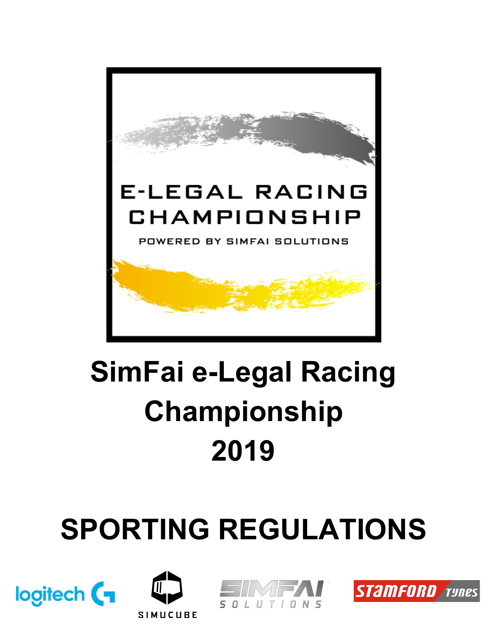

## **SimFai e-Legal Racing Championship 2019**

# **SPORTING REGULATIONS**







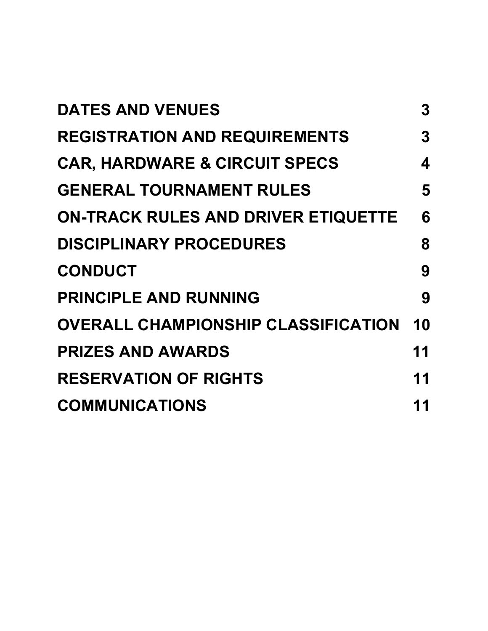| <b>DATES AND VENUES</b>                    | 3      |
|--------------------------------------------|--------|
| <b>REGISTRATION AND REQUIREMENTS</b>       | 3      |
| <b>CAR, HARDWARE &amp; CIRCUIT SPECS</b>   | 4      |
| <b>GENERAL TOURNAMENT RULES</b>            | 5      |
| <b>ON-TRACK RULES AND DRIVER ETIQUETTE</b> | 6      |
| <b>DISCIPLINARY PROCEDURES</b>             | 8      |
| <b>CONDUCT</b>                             | 9      |
| <b>PRINCIPLE AND RUNNING</b>               | 9      |
| <b>OVERALL CHAMPIONSHIP CLASSIFICATION</b> | 10     |
| <b>PRIZES AND AWARDS</b>                   | 11     |
| <b>RESERVATION OF RIGHTS</b>               | 11     |
| <b>COMMUNICATIONS</b>                      | 1<br>1 |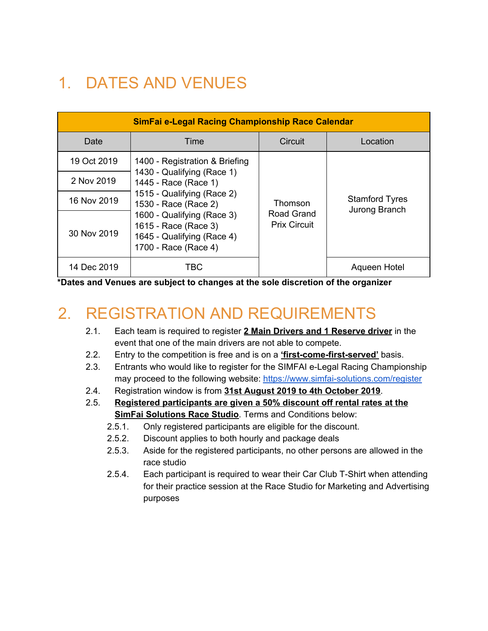## <span id="page-2-0"></span>1. DATES AND VENUES

| SimFai e-Legal Racing Championship Race Calendar |                                                                                                          |                                              |                                        |  |  |  |  |
|--------------------------------------------------|----------------------------------------------------------------------------------------------------------|----------------------------------------------|----------------------------------------|--|--|--|--|
| Date                                             | Time                                                                                                     | Circuit                                      | Location                               |  |  |  |  |
| 19 Oct 2019                                      | 1400 - Registration & Briefing                                                                           |                                              |                                        |  |  |  |  |
| 2 Nov 2019                                       | 1430 - Qualifying (Race 1)<br>1445 - Race (Race 1)                                                       | Thomson<br>Road Grand<br><b>Prix Circuit</b> |                                        |  |  |  |  |
| 16 Nov 2019                                      | 1515 - Qualifying (Race 2)<br>1530 - Race (Race 2)                                                       |                                              | <b>Stamford Tyres</b><br>Jurong Branch |  |  |  |  |
| 30 Nov 2019                                      | 1600 - Qualifying (Race 3)<br>1615 - Race (Race 3)<br>1645 - Qualifying (Race 4)<br>1700 - Race (Race 4) |                                              |                                        |  |  |  |  |
| 14 Dec 2019                                      | TBC.                                                                                                     |                                              | Aqueen Hotel                           |  |  |  |  |

<span id="page-2-1"></span>**\*Dates and Venues are subject to changes at the sole discretion of the organizer**

### 2. REGISTRATION AND REQUIREMENTS

- 2.1. Each team is required to register **2 Main Drivers and 1 Reserve driver** in the event that one of the main drivers are not able to compete.
- 2.2. Entry to the competition is free and is on a **'first-come-first-served'** basis.
- 2.3. Entrants who would like to register for the SIMFAI e-Legal Racing Championship may proceed to the following website: <https://www.simfai-solutions.com/register>
- 2.4. Registration window is from **31st August 2019 to 4th October 2019**.
- 2.5. **Registered participants are given a 50% discount off rental rates at the SimFai Solutions Race Studio**. Terms and Conditions below:
	- 2.5.1. Only registered participants are eligible for the discount.
	- 2.5.2. Discount applies to both hourly and package deals
	- 2.5.3. Aside for the registered participants, no other persons are allowed in the race studio
	- 2.5.4. Each participant is required to wear their Car Club T-Shirt when attending for their practice session at the Race Studio for Marketing and Advertising purposes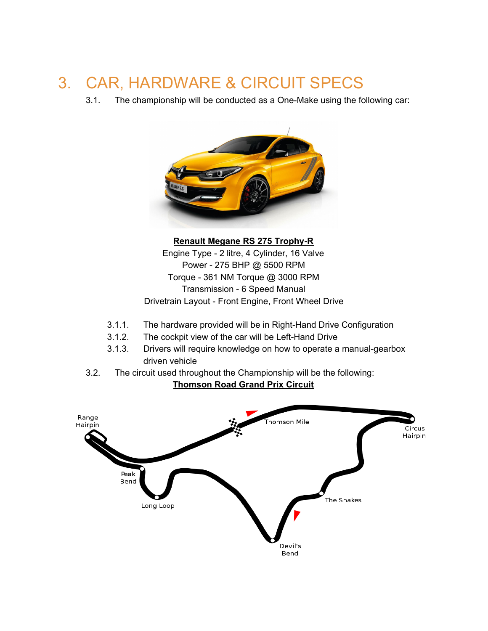### <span id="page-3-0"></span>3. CAR, HARDWARE & CIRCUIT SPECS

3.1. The championship will be conducted as a One-Make using the following car:



**Renault Megane RS 275 Trophy-R** Engine Type - 2 litre, 4 Cylinder, 16 Valve Power - 275 BHP @ 5500 RPM Torque - 361 NM Torque @ 3000 RPM Transmission - 6 Speed Manual Drivetrain Layout - Front Engine, Front Wheel Drive

- 3.1.1. The hardware provided will be in Right-Hand Drive Configuration
- 3.1.2. The cockpit view of the car will be Left-Hand Drive
- 3.1.3. Drivers will require knowledge on how to operate a manual-gearbox driven vehicle
- 3.2. The circuit used throughout the Championship will be the following:

**Thomson Road Grand Prix Circuit**

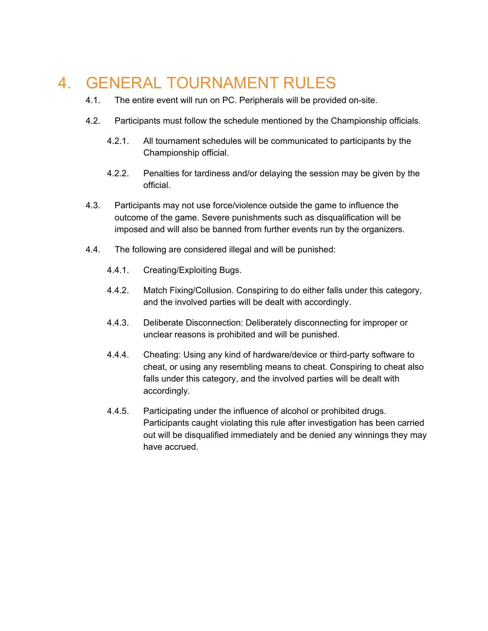### <span id="page-4-0"></span>4. GENERAL TOURNAMENT RULES

- 4.1. The entire event will run on PC. Peripherals will be provided on-site.
- 4.2. Participants must follow the schedule mentioned by the Championship officials.
	- 4.2.1. All tournament schedules will be communicated to participants by the Championship official.
	- 4.2.2. Penalties for tardiness and/or delaying the session may be given by the official.
- 4.3. Participants may not use force/violence outside the game to influence the outcome of the game. Severe punishments such as disqualification will be imposed and will also be banned from further events run by the organizers.
- 4.4. The following are considered illegal and will be punished:
	- 4.4.1. Creating/Exploiting Bugs.
	- 4.4.2. Match Fixing/Collusion. Conspiring to do either falls under this category, and the involved parties will be dealt with accordingly.
	- 4.4.3. Deliberate Disconnection: Deliberately disconnecting for improper or unclear reasons is prohibited and will be punished.
	- 4.4.4. Cheating: Using any kind of hardware/device or third-party software to cheat, or using any resembling means to cheat. Conspiring to cheat also falls under this category, and the involved parties will be dealt with accordingly.
	- 4.4.5. Participating under the influence of alcohol or prohibited drugs. Participants caught violating this rule after investigation has been carried out will be disqualified immediately and be denied any winnings they may have accrued.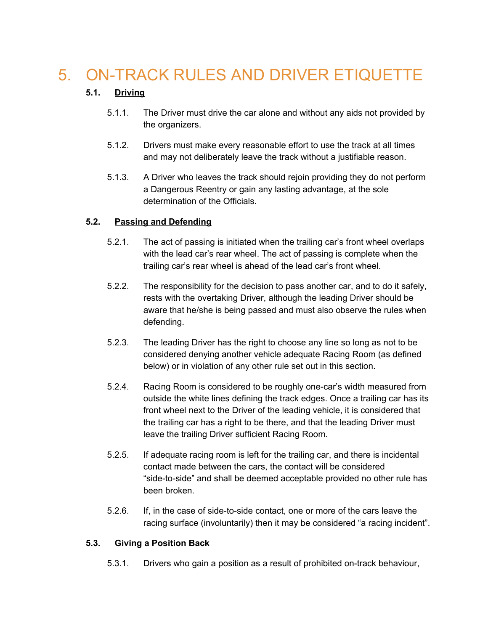### <span id="page-5-0"></span>5. ON-TRACK RULES AND DRIVER ETIQUETTE

#### **5.1. Driving**

- 5.1.1. The Driver must drive the car alone and without any aids not provided by the organizers.
- 5.1.2. Drivers must make every reasonable effort to use the track at all times and may not deliberately leave the track without a justifiable reason.
- 5.1.3. A Driver who leaves the track should rejoin providing they do not perform a Dangerous Reentry or gain any lasting advantage, at the sole determination of the Officials.

#### **5.2. Passing and Defending**

- 5.2.1. The act of passing is initiated when the trailing car's front wheel overlaps with the lead car's rear wheel. The act of passing is complete when the trailing car's rear wheel is ahead of the lead car's front wheel.
- 5.2.2. The responsibility for the decision to pass another car, and to do it safely, rests with the overtaking Driver, although the leading Driver should be aware that he/she is being passed and must also observe the rules when defending.
- 5.2.3. The leading Driver has the right to choose any line so long as not to be considered denying another vehicle adequate Racing Room (as defined below) or in violation of any other rule set out in this section.
- 5.2.4. Racing Room is considered to be roughly one-car's width measured from outside the white lines defining the track edges. Once a trailing car has its front wheel next to the Driver of the leading vehicle, it is considered that the trailing car has a right to be there, and that the leading Driver must leave the trailing Driver sufficient Racing Room.
- 5.2.5. If adequate racing room is left for the trailing car, and there is incidental contact made between the cars, the contact will be considered "side-to-side" and shall be deemed acceptable provided no other rule has been broken.
- 5.2.6. If, in the case of side-to-side contact, one or more of the cars leave the racing surface (involuntarily) then it may be considered "a racing incident".

#### **5.3. Giving a Position Back**

5.3.1. Drivers who gain a position as a result of prohibited on-track behaviour,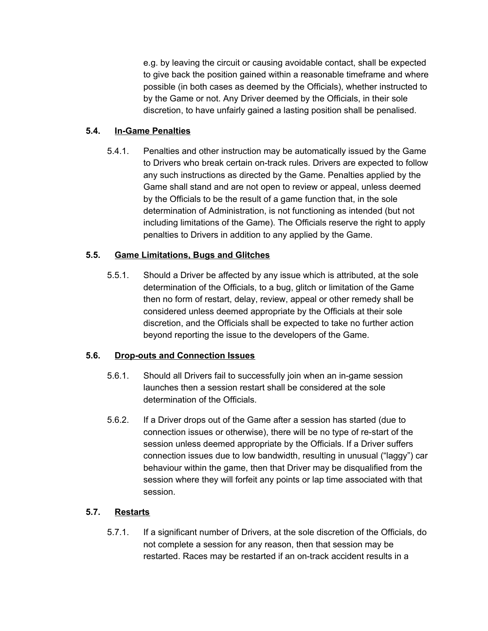e.g. by leaving the circuit or causing avoidable contact, shall be expected to give back the position gained within a reasonable timeframe and where possible (in both cases as deemed by the Officials), whether instructed to by the Game or not. Any Driver deemed by the Officials, in their sole discretion, to have unfairly gained a lasting position shall be penalised.

#### **5.4. In-Game Penalties**

5.4.1. Penalties and other instruction may be automatically issued by the Game to Drivers who break certain on-track rules. Drivers are expected to follow any such instructions as directed by the Game. Penalties applied by the Game shall stand and are not open to review or appeal, unless deemed by the Officials to be the result of a game function that, in the sole determination of Administration, is not functioning as intended (but not including limitations of the Game). The Officials reserve the right to apply penalties to Drivers in addition to any applied by the Game.

#### **5.5. Game Limitations, Bugs and Glitches**

5.5.1. Should a Driver be affected by any issue which is attributed, at the sole determination of the Officials, to a bug, glitch or limitation of the Game then no form of restart, delay, review, appeal or other remedy shall be considered unless deemed appropriate by the Officials at their sole discretion, and the Officials shall be expected to take no further action beyond reporting the issue to the developers of the Game.

#### **5.6. Drop-outs and Connection Issues**

- 5.6.1. Should all Drivers fail to successfully join when an in-game session launches then a session restart shall be considered at the sole determination of the Officials.
- 5.6.2. If a Driver drops out of the Game after a session has started (due to connection issues or otherwise), there will be no type of re-start of the session unless deemed appropriate by the Officials. If a Driver suffers connection issues due to low bandwidth, resulting in unusual ("laggy") car behaviour within the game, then that Driver may be disqualified from the session where they will forfeit any points or lap time associated with that session.

#### **5.7. Restarts**

5.7.1. If a significant number of Drivers, at the sole discretion of the Officials, do not complete a session for any reason, then that session may be restarted. Races may be restarted if an on-track accident results in a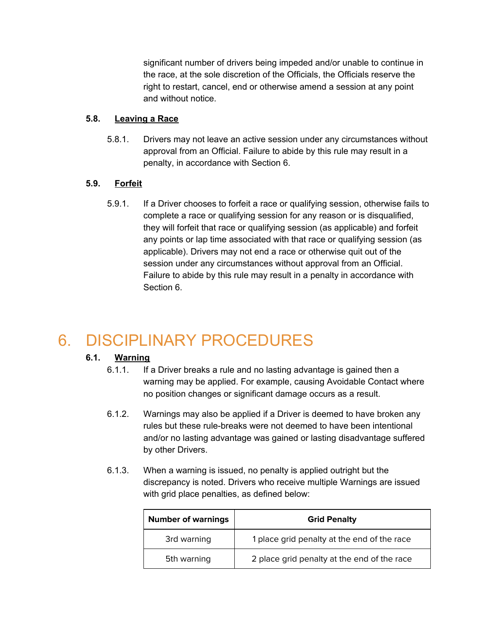significant number of drivers being impeded and/or unable to continue in the race, at the sole discretion of the Officials, the Officials reserve the right to restart, cancel, end or otherwise amend a session at any point and without notice.

#### **5.8. Leaving a Race**

5.8.1. Drivers may not leave an active session under any circumstances without approval from an Official. Failure to abide by this rule may result in a penalty, in accordance with Section 6.

#### **5.9. Forfeit**

5.9.1. If a Driver chooses to forfeit a race or qualifying session, otherwise fails to complete a race or qualifying session for any reason or is disqualified, they will forfeit that race or qualifying session (as applicable) and forfeit any points or lap time associated with that race or qualifying session (as applicable). Drivers may not end a race or otherwise quit out of the session under any circumstances without approval from an Official. Failure to abide by this rule may result in a penalty in accordance with Section 6.

### <span id="page-7-0"></span>6. DISCIPLINARY PROCEDURES

#### **6.1. Warning**

- 6.1.1. If a Driver breaks a rule and no lasting advantage is gained then a warning may be applied. For example, causing Avoidable Contact where no position changes or significant damage occurs as a result.
- 6.1.2. Warnings may also be applied if a Driver is deemed to have broken any rules but these rule-breaks were not deemed to have been intentional and/or no lasting advantage was gained or lasting disadvantage suffered by other Drivers.
- 6.1.3. When a warning is issued, no penalty is applied outright but the discrepancy is noted. Drivers who receive multiple Warnings are issued with grid place penalties, as defined below:

| <b>Number of warnings</b> | <b>Grid Penalty</b>                         |  |  |
|---------------------------|---------------------------------------------|--|--|
| 3rd warning               | 1 place grid penalty at the end of the race |  |  |
| 5th warning               | 2 place grid penalty at the end of the race |  |  |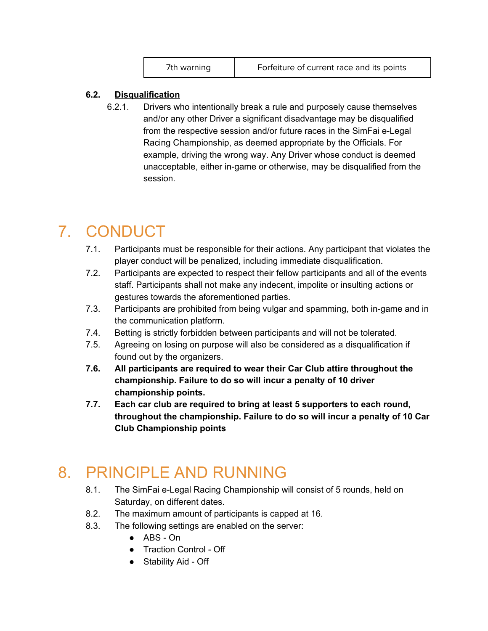#### **6.2. Disqualification**

6.2.1. Drivers who intentionally break a rule and purposely cause themselves and/or any other Driver a significant disadvantage may be disqualified from the respective session and/or future races in the SimFai e-Legal Racing Championship, as deemed appropriate by the Officials. For example, driving the wrong way. Any Driver whose conduct is deemed unacceptable, either in-game or otherwise, may be disqualified from the session.

### <span id="page-8-0"></span>7. CONDUCT

- 7.1. Participants must be responsible for their actions. Any participant that violates the player conduct will be penalized, including immediate disqualification.
- 7.2. Participants are expected to respect their fellow participants and all of the events staff. Participants shall not make any indecent, impolite or insulting actions or gestures towards the aforementioned parties.
- 7.3. Participants are prohibited from being vulgar and spamming, both in-game and in the communication platform.
- 7.4. Betting is strictly forbidden between participants and will not be tolerated.
- 7.5. Agreeing on losing on purpose will also be considered as a disqualification if found out by the organizers.
- **7.6. All participants are required to wear their Car Club attire throughout the championship. Failure to do so will incur a penalty of 10 driver championship points.**
- **7.7. Each car club are required to bring at least 5 supporters to each round, throughout the championship. Failure to do so will incur a penalty of 10 Car Club Championship points**

### <span id="page-8-1"></span>8. PRINCIPLE AND RUNNING

- 8.1. The SimFai e-Legal Racing Championship will consist of 5 rounds, held on Saturday, on different dates.
- 8.2. The maximum amount of participants is capped at 16.
- 8.3. The following settings are enabled on the server:
	- ABS On
	- Traction Control Off
	- Stability Aid Off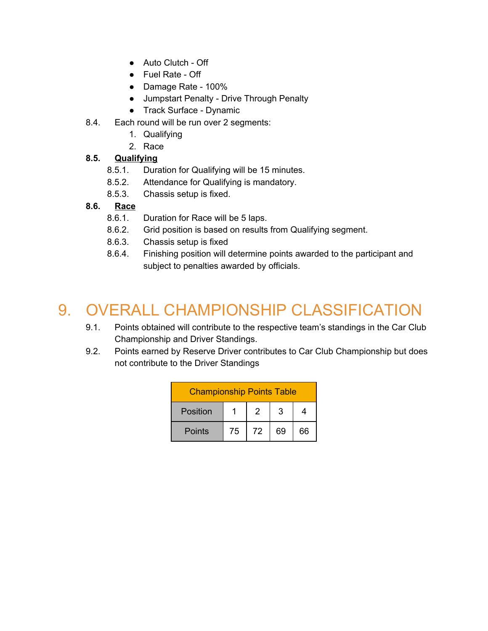- Auto Clutch Off
- Fuel Rate Off
- Damage Rate 100%
- Jumpstart Penalty Drive Through Penalty
- Track Surface Dynamic
- 8.4. Each round will be run over 2 segments:
	- 1. Qualifying
	- 2. Race

#### **8.5. Qualifying**

- 8.5.1. Duration for Qualifying will be 15 minutes.
- 8.5.2. Attendance for Qualifying is mandatory.
- 8.5.3. Chassis setup is fixed.

#### **8.6. Race**

- 8.6.1. Duration for Race will be 5 laps.
- 8.6.2. Grid position is based on results from Qualifying segment.
- 8.6.3. Chassis setup is fixed
- 8.6.4. Finishing position will determine points awarded to the participant and subject to penalties awarded by officials.

### <span id="page-9-0"></span>9. OVERALL CHAMPIONSHIP CLASSIFICATION

- 9.1. Points obtained will contribute to the respective team's standings in the Car Club Championship and Driver Standings.
- 9.2. Points earned by Reserve Driver contributes to Car Club Championship but does not contribute to the Driver Standings

| <b>Championship Points Table</b> |    |    |    |    |  |  |
|----------------------------------|----|----|----|----|--|--|
| Position                         |    | 2  | 3  |    |  |  |
| Points                           | 75 | 72 | 69 | 66 |  |  |